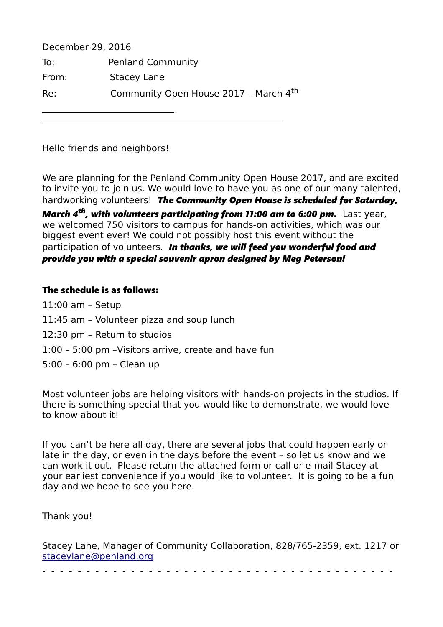| December 29, 2016 |                                       |
|-------------------|---------------------------------------|
| To:               | <b>Penland Community</b>              |
| From:             | <b>Stacey Lane</b>                    |
| Re:               | Community Open House 2017 - March 4th |

Hello friends and neighbors!

We are planning for the Penland Community Open House 2017, and are excited to invite you to join us. We would love to have you as one of our many talented, hardworking volunteers! *The Community Open House is scheduled for Saturday, March 4th, with volunteers participating from 11:00 am to 6:00 pm.* Last year, we welcomed 750 visitors to campus for hands-on activities, which was our biggest event ever! We could not possibly host this event without the participation of volunteers. *In thanks, we will feed you wonderful food and provide you with a special souvenir apron designed by Meg Peterson!*

## The schedule is as follows:

- 11:00 am Setup
- 11:45 am Volunteer pizza and soup lunch
- 12:30 pm Return to studios
- 1:00 5:00 pm –Visitors arrive, create and have fun
- 5:00 6:00 pm Clean up

Most volunteer jobs are helping visitors with hands-on projects in the studios. If there is something special that you would like to demonstrate, we would love to know about it!

If you can't be here all day, there are several jobs that could happen early or late in the day, or even in the days before the event – so let us know and we can work it out. Please return the attached form or call or e-mail Stacey at your earliest convenience if you would like to volunteer. It is going to be a fun day and we hope to see you here.

Thank you!

| Stacey Lane, Manager of Community Collaboration, 828/765-2359, ext. 1217 or |  |  |
|-----------------------------------------------------------------------------|--|--|
| staceylane@penland.org                                                      |  |  |

- - - - - - - - - - - - - - - - - - - - - - - - - - - - - - - - - - - - - - - -